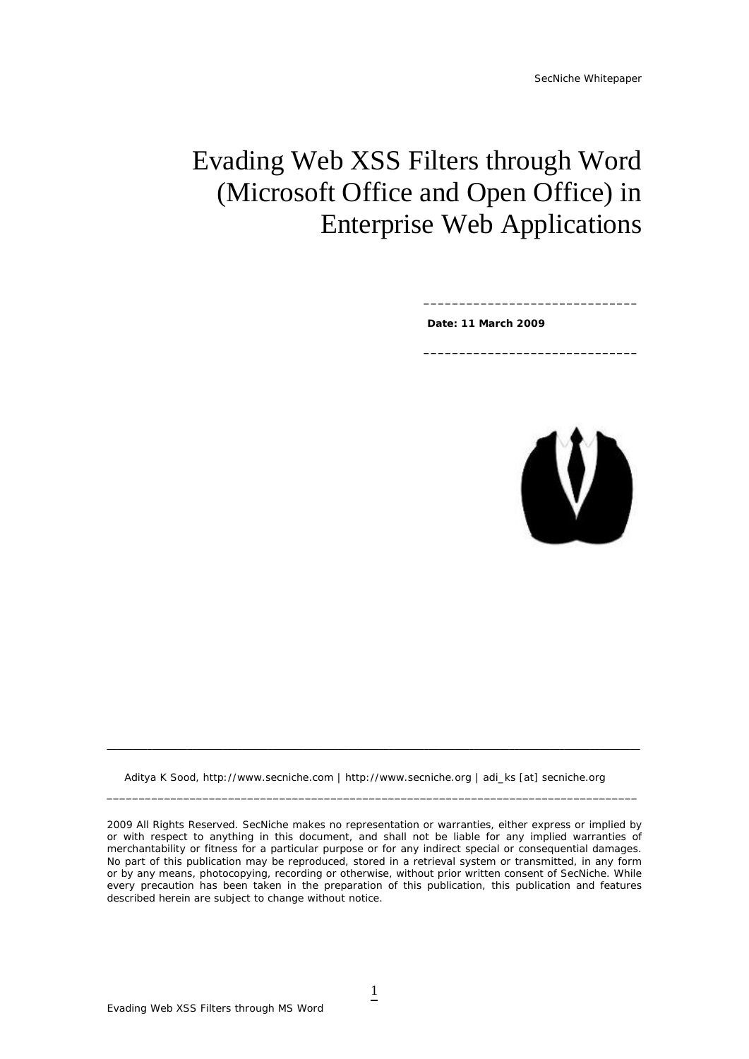# Evading Web XSS Filters through Word (Microsoft Office and Open Office) in Enterprise Web Applications

 **Date: 11 March 2009** 

**\_\_\_\_\_\_\_\_\_\_\_\_\_\_\_\_\_\_\_\_\_\_\_\_\_\_\_\_\_\_** 

**\_\_\_\_\_\_\_\_\_\_\_\_\_\_\_\_\_\_\_\_\_\_\_\_\_\_\_\_\_\_** 



Aditya K Sood, http://www.secniche.com | http://www.secniche.org | adi\_ks [at] secniche.org

**\_\_\_\_\_\_\_\_\_\_\_\_\_\_\_\_\_\_\_\_\_\_\_\_\_\_\_\_\_\_\_\_\_\_\_\_\_\_\_\_\_\_\_\_\_\_\_\_\_\_\_\_\_\_\_\_\_\_\_\_\_\_\_\_\_\_\_\_\_\_\_\_\_\_\_\_\_\_\_\_\_\_\_\_\_\_\_\_\_\_\_\_\_\_\_\_\_\_\_\_\_\_\_\_\_\_** 

\_\_\_\_\_\_\_\_\_\_\_\_\_\_\_\_\_\_\_\_\_\_\_\_\_\_\_\_\_\_\_\_\_\_\_\_\_\_\_\_\_\_\_\_\_\_\_\_\_\_\_\_\_\_\_\_\_\_\_\_\_\_\_\_\_\_\_\_\_\_\_\_\_\_\_\_\_\_\_\_\_\_\_

*2009 All Rights Reserved. SecNiche makes no representation or warranties, either express or implied by or with respect to anything in this document, and shall not be liable for any implied warranties of merchantability or fitness for a particular purpose or for any indirect special or consequential damages. No part of this publication may be reproduced, stored in a retrieval system or transmitted, in any form or by any means, photocopying, recording or otherwise, without prior written consent of SecNiche. While every precaution has been taken in the preparation of this publication, this publication and features described herein are subject to change without notice.*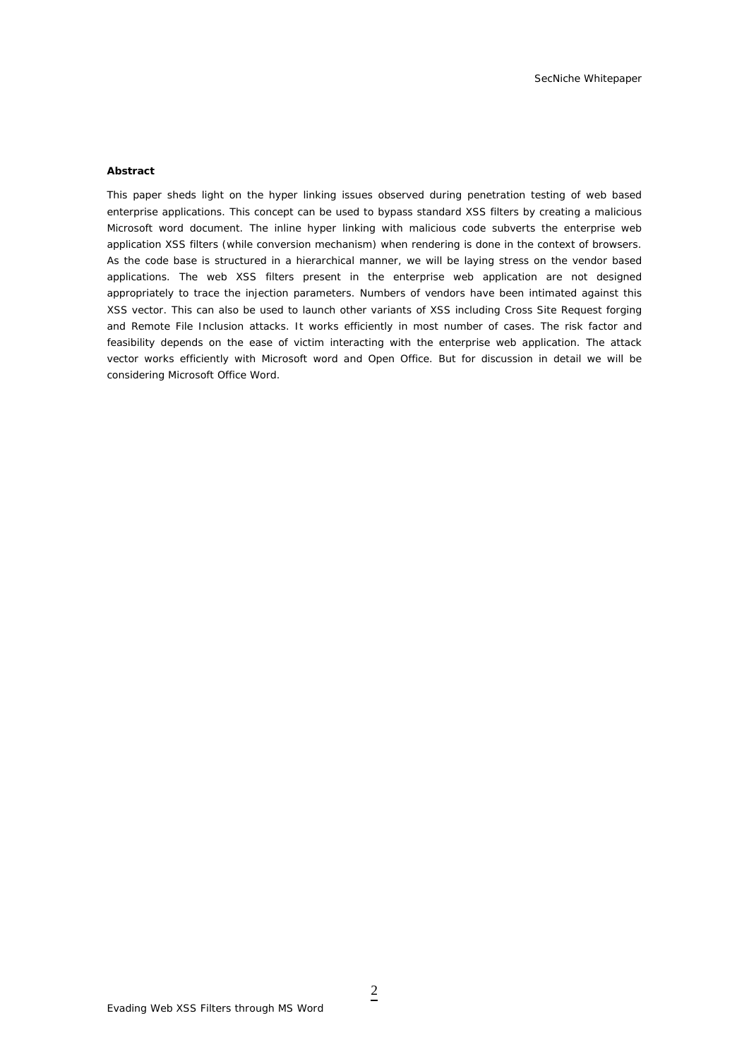#### **Abstract**

This paper sheds light on the hyper linking issues observed during penetration testing of web based enterprise applications. This concept can be used to bypass standard XSS filters by creating a malicious Microsoft word document. The inline hyper linking with malicious code subverts the enterprise web application XSS filters (while conversion mechanism) when rendering is done in the context of browsers. As the code base is structured in a hierarchical manner, we will be laying stress on the vendor based applications. The web XSS filters present in the enterprise web application are not designed appropriately to trace the injection parameters. Numbers of vendors have been intimated against this XSS vector. This can also be used to launch other variants of XSS including Cross Site Request forging and Remote File Inclusion attacks. It works efficiently in most number of cases. The risk factor and feasibility depends on the ease of victim interacting with the enterprise web application. The attack vector works efficiently with Microsoft word and Open Office. But for discussion in detail we will be considering Microsoft Office Word.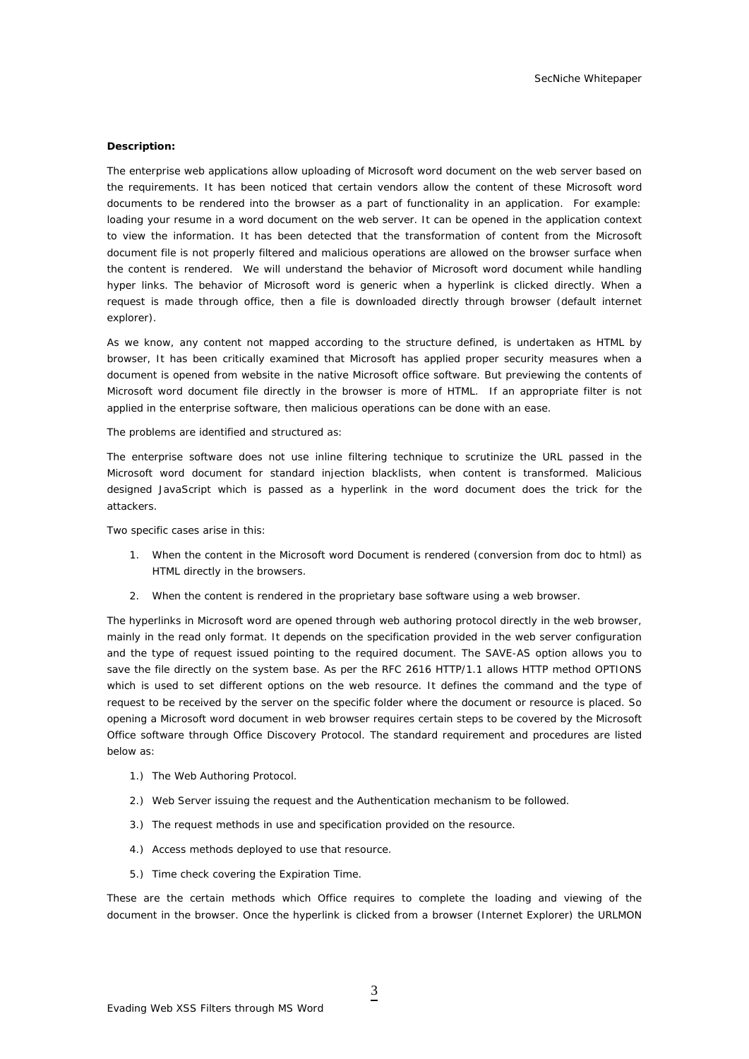#### **Description:**

The enterprise web applications allow uploading of Microsoft word document on the web server based on the requirements. It has been noticed that certain vendors allow the content of these Microsoft word documents to be rendered into the browser as a part of functionality in an application. For example: loading your resume in a word document on the web server. It can be opened in the application context to view the information. It has been detected that the transformation of content from the Microsoft document file is not properly filtered and malicious operations are allowed on the browser surface when the content is rendered. We will understand the behavior of Microsoft word document while handling hyper links. The behavior of Microsoft word is generic when a hyperlink is clicked directly. When a request is made through office, then a file is downloaded directly through browser (default internet explorer).

As we know, any content not mapped according to the structure defined, is undertaken as HTML by browser, It has been critically examined that Microsoft has applied proper security measures when a document is opened from website in the native Microsoft office software. But previewing the contents of Microsoft word document file directly in the browser is more of HTML. If an appropriate filter is not applied in the enterprise software, then malicious operations can be done with an ease.

The problems are identified and structured as:

The enterprise software does not use inline filtering technique to scrutinize the URL passed in the Microsoft word document for standard injection blacklists, when content is transformed. Malicious designed JavaScript which is passed as a hyperlink in the word document does the trick for the attackers.

Two specific cases arise in this:

- 1. When the content in the Microsoft word Document is rendered (conversion from doc to html) as HTML directly in the browsers.
- 2. When the content is rendered in the proprietary base software using a web browser.

The hyperlinks in Microsoft word are opened through web authoring protocol directly in the web browser, mainly in the read only format. It depends on the specification provided in the web server configuration and the type of request issued pointing to the required document. The SAVE-AS option allows you to save the file directly on the system base. As per the RFC 2616 HTTP/1.1 allows HTTP method OPTIONS which is used to set different options on the web resource. It defines the command and the type of request to be received by the server on the specific folder where the document or resource is placed. So opening a Microsoft word document in web browser requires certain steps to be covered by the Microsoft Office software through Office Discovery Protocol. The standard requirement and procedures are listed below as:

- 1.) The Web Authoring Protocol.
- 2.) Web Server issuing the request and the Authentication mechanism to be followed.
- 3.) The request methods in use and specification provided on the resource.
- 4.) Access methods deployed to use that resource.
- 5.) Time check covering the Expiration Time.

These are the certain methods which Office requires to complete the loading and viewing of the document in the browser. Once the hyperlink is clicked from a browser (Internet Explorer) the URLMON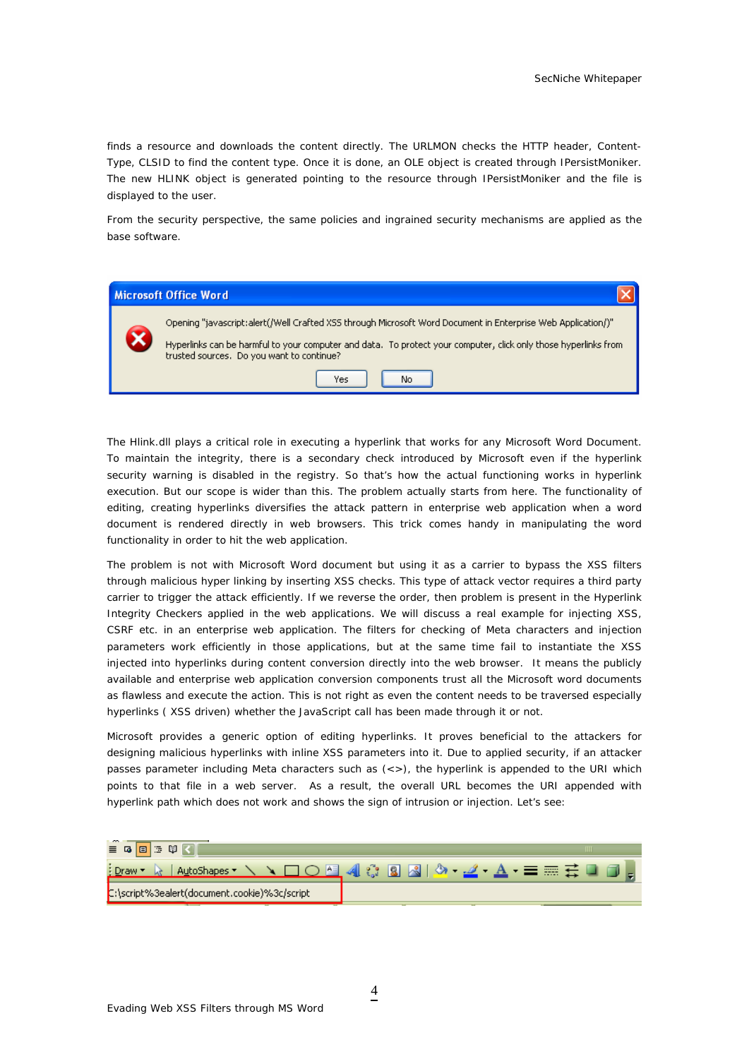finds a resource and downloads the content directly. The URLMON checks the HTTP header, Content-Type, CLSID to find the content type. Once it is done, an OLE object is created through IPersistMoniker. The new HLINK object is generated pointing to the resource through IPersistMoniker and the file is displayed to the user.

From the security perspective, the same policies and ingrained security mechanisms are applied as the base software.



The Hlink.dll plays a critical role in executing a hyperlink that works for any Microsoft Word Document. To maintain the integrity, there is a secondary check introduced by Microsoft even if the hyperlink security warning is disabled in the registry. So that's how the actual functioning works in hyperlink execution. But our scope is wider than this. The problem actually starts from here. The functionality of editing, creating hyperlinks diversifies the attack pattern in enterprise web application when a word document is rendered directly in web browsers. This trick comes handy in manipulating the word functionality in order to hit the web application.

The problem is not with Microsoft Word document but using it as a carrier to bypass the XSS filters through malicious hyper linking by inserting XSS checks. This type of attack vector requires a third party carrier to trigger the attack efficiently. If we reverse the order, then problem is present in the Hyperlink Integrity Checkers applied in the web applications. We will discuss a real example for injecting XSS, CSRF etc. in an enterprise web application. The filters for checking of Meta characters and injection parameters work efficiently in those applications, but at the same time fail to instantiate the XSS injected into hyperlinks during content conversion directly into the web browser. It means the publicly available and enterprise web application conversion components trust all the Microsoft word documents as flawless and execute the action. This is not right as even the content needs to be traversed especially hyperlinks ( XSS driven) whether the JavaScript call has been made through it or not.

Microsoft provides a generic option of editing hyperlinks. It proves beneficial to the attackers for designing malicious hyperlinks with inline XSS parameters into it. Due to applied security, if an attacker passes parameter including Meta characters such as  $\langle \langle \rangle$ , the hyperlink is appended to the URI which points to that file in a web server. As a result, the overall URL becomes the URI appended with hyperlink path which does not work and shows the sign of intrusion or injection. Let's see:

| $\sim$<br>法图<br>$\equiv$ 6 $\equiv$          |                                             |
|----------------------------------------------|---------------------------------------------|
| 4 Draw T<br>AutoShapes                       | <u> 1○凸</u> 410 B B   0 -2 - <u>A</u> - 三三三 |
| C:\script%3ealert(document.cookie)%3c/script |                                             |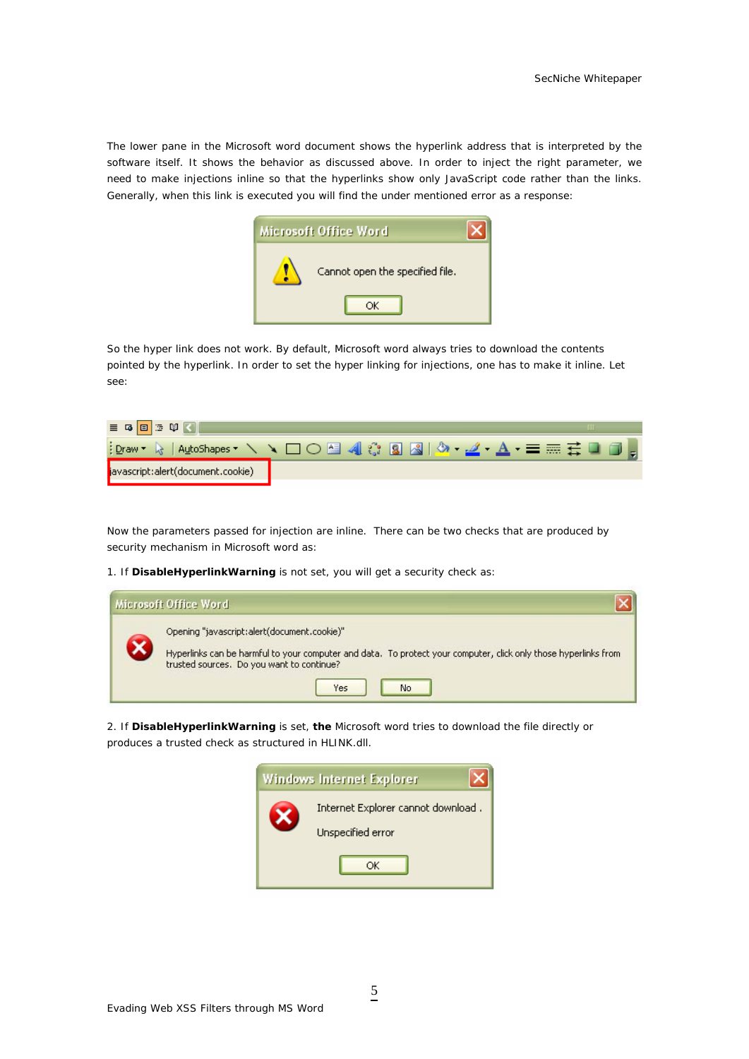The lower pane in the Microsoft word document shows the hyperlink address that is interpreted by the software itself. It shows the behavior as discussed above. In order to inject the right parameter, we need to make injections inline so that the hyperlinks show only JavaScript code rather than the links. Generally, when this link is executed you will find the under mentioned error as a response:



So the hyper link does not work. By default, Microsoft word always tries to download the contents pointed by the hyperlink. In order to set the hyper linking for injections, one has to make it inline. Let see:

| $\equiv$ 6 $\equiv$ 3 $\%$         |  |
|------------------------------------|--|
|                                    |  |
| javascript:alert(document.cookie). |  |

Now the parameters passed for injection are inline. There can be two checks that are produced by security mechanism in Microsoft word as:

1. If **DisableHyperlinkWarning** is not set, you will get a security check as:

| Microsoft Office Word                                                                                                                                                                                                    |
|--------------------------------------------------------------------------------------------------------------------------------------------------------------------------------------------------------------------------|
| Opening "javascript:alert(document.cookie)"<br>Hyperlinks can be harmful to your computer and data. To protect your computer, click only those hyperlinks from<br>trusted sources. Do you want to continue?<br>Yes<br>No |

2. If **DisableHyperlinkWarning** is set, **the** Microsoft word tries to download the file directly or produces a trusted check as structured in HLINK.dll.

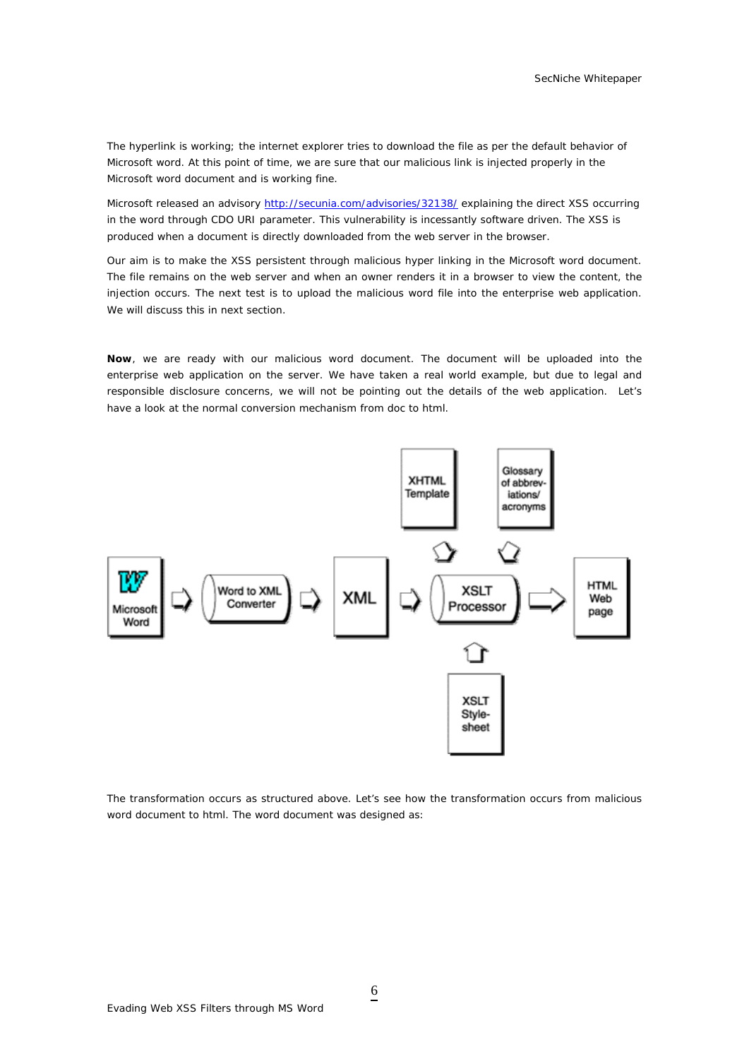The hyperlink is working; the internet explorer tries to download the file as per the default behavior of Microsoft word. At this point of time, we are sure that our malicious link is injected properly in the Microsoft word document and is working fine.

Microsoft released an advisory<http://secunia.com/advisories/32138/> explaining the direct XSS occurring in the word through CDO URI parameter. This vulnerability is incessantly software driven. The XSS is produced when a document is directly downloaded from the web server in the browser.

Our aim is to make the XSS persistent through malicious hyper linking in the Microsoft word document. The file remains on the web server and when an owner renders it in a browser to view the content, the injection occurs. The next test is to upload the malicious word file into the enterprise web application. We will discuss this in next section.

**Now**, we are ready with our malicious word document. The document will be uploaded into the enterprise web application on the server. We have taken a real world example, but due to legal and responsible disclosure concerns, we will not be pointing out the details of the web application. Let's have a look at the normal conversion mechanism from doc to html.



The transformation occurs as structured above. Let's see how the transformation occurs from malicious word document to html. The word document was designed as:

6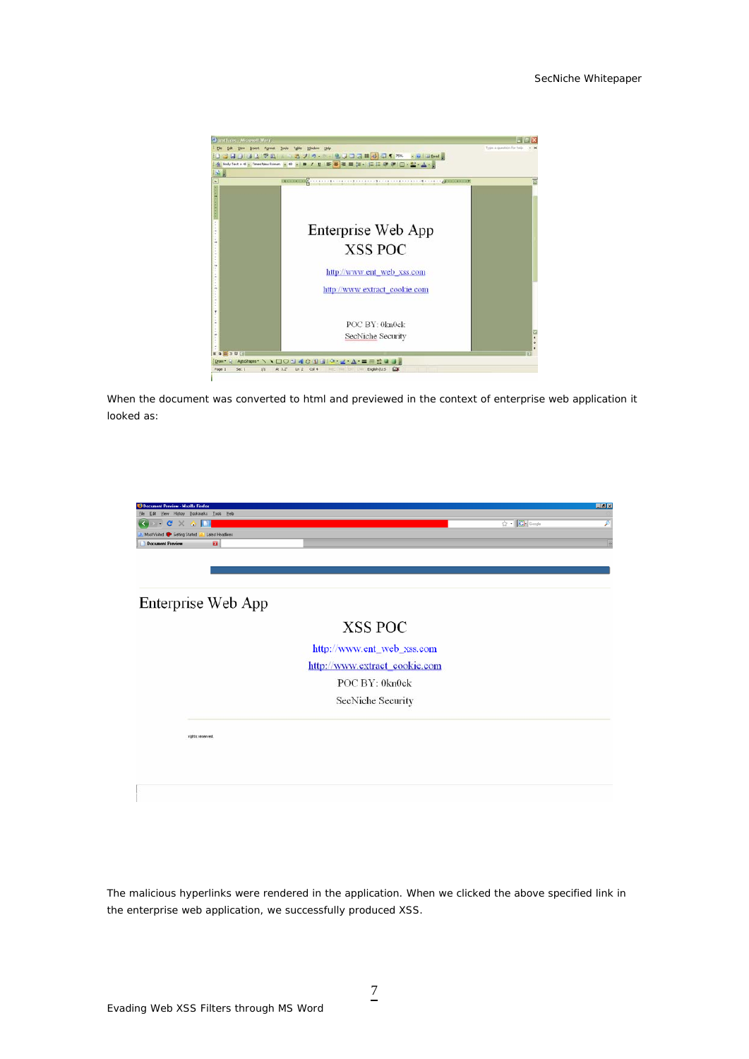

When the document was converted to html and previewed in the context of enterprise web application it looked as:

| <b>9 Document Preview - Mozilla Firefox</b>      | 日回区              |
|--------------------------------------------------|------------------|
| File Edit View History Bookmarks Tools Help      |                  |
| $\cdot$ C<br>m<br>$\times$ $\sim$                | P<br>☆ 【G Google |
| Latest Headlines<br>Most Visited Stating Started |                  |
| $\mathbf{G}$<br><b>Document Preview</b>          | B                |
|                                                  |                  |
|                                                  |                  |
|                                                  |                  |
| Enterprise Web App                               |                  |
|                                                  |                  |
| XSS POC                                          |                  |
|                                                  |                  |
| http://www.ent_web_xss.com                       |                  |
| http://www.extract_cookie.com                    |                  |
| POC BY: 0kn0ck                                   |                  |
| SecNiche Security                                |                  |
|                                                  |                  |
|                                                  |                  |
| rights reserved.                                 |                  |
|                                                  |                  |
|                                                  |                  |
|                                                  |                  |
|                                                  |                  |
|                                                  |                  |
|                                                  |                  |

The malicious hyperlinks were rendered in the application. When we clicked the above specified link in the enterprise web application, we successfully produced XSS.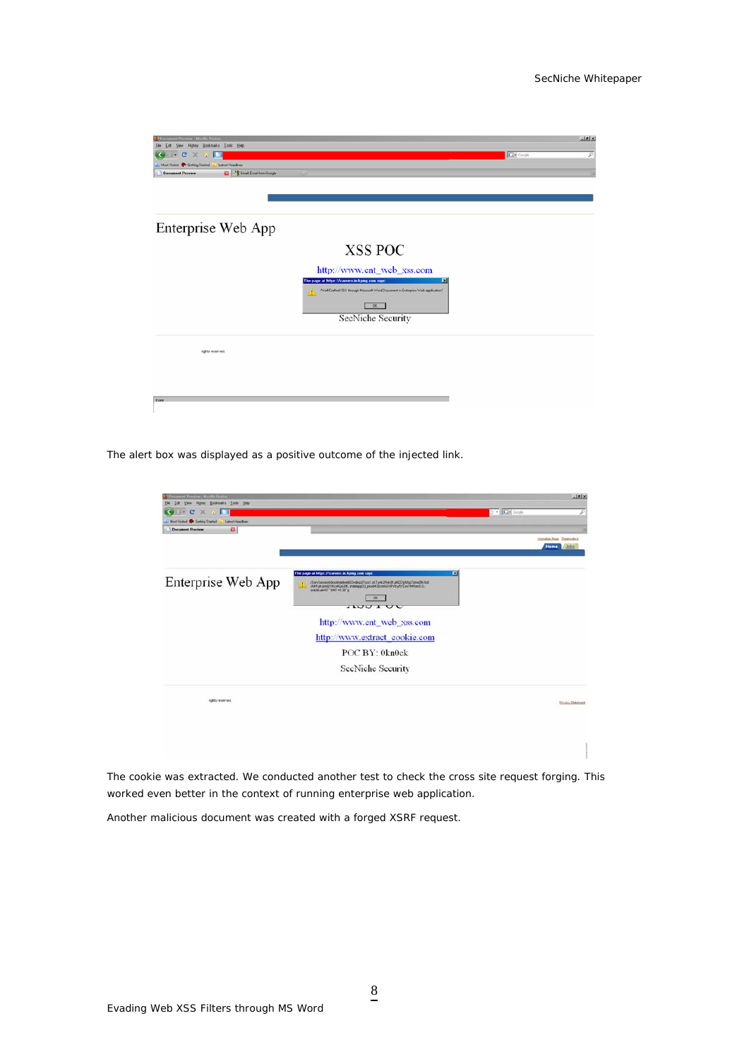| st Preview - Mozilla Firefo<br>Edit | Vew Higtory Bookmarks Tools Help |                                                                                       |                 | <b>ABIX</b> |
|-------------------------------------|----------------------------------|---------------------------------------------------------------------------------------|-----------------|-------------|
| c<br>$\times$<br>÷                  |                                  |                                                                                       | <b>C</b> Google | ₽           |
| Most Visited Conting Stated         | Latest Headines                  |                                                                                       |                 |             |
| <b>Document Preview</b>             | <b>B</b> Cinat Enail from Google |                                                                                       |                 |             |
|                                     |                                  |                                                                                       |                 |             |
|                                     |                                  |                                                                                       |                 |             |
|                                     |                                  |                                                                                       |                 |             |
|                                     |                                  |                                                                                       |                 |             |
|                                     |                                  |                                                                                       |                 |             |
|                                     | Enterprise Web App               |                                                                                       |                 |             |
|                                     |                                  |                                                                                       |                 |             |
|                                     |                                  | <b>XSS POC</b>                                                                        |                 |             |
|                                     |                                  |                                                                                       |                 |             |
|                                     |                                  | http://www.ent_web_xss.com                                                            |                 |             |
|                                     |                                  | The page at https://careers.in.kpmg.com says:<br>図                                    |                 |             |
|                                     |                                  | /Well Crafted XSS through Microsoft Word Document in Enterprise Web application/<br>Δ |                 |             |
|                                     |                                  | <b>OK</b>                                                                             |                 |             |
|                                     |                                  | SecNiche Security                                                                     |                 |             |
|                                     |                                  |                                                                                       |                 |             |
|                                     |                                  |                                                                                       |                 |             |
|                                     |                                  |                                                                                       |                 |             |
|                                     | rights reserved.                 |                                                                                       |                 |             |
|                                     |                                  |                                                                                       |                 |             |
|                                     |                                  |                                                                                       |                 |             |
|                                     |                                  |                                                                                       |                 |             |
| Done                                |                                  |                                                                                       |                 |             |
|                                     |                                  |                                                                                       |                 |             |
|                                     |                                  |                                                                                       |                 |             |

The alert box was displayed as a positive outcome of the injected link.

| ot Poreion : Maulla Festus<br>Yew Highey Bookmaks Took Help<br>Lott<br>Ele              |                                                                                                                                                                                                                                                       | $= 61 \times$                         |
|-----------------------------------------------------------------------------------------|-------------------------------------------------------------------------------------------------------------------------------------------------------------------------------------------------------------------------------------------------------|---------------------------------------|
| $\mathbf{C}$<br>$\times$<br>$(1 + 1)$<br><b>COL</b>                                     |                                                                                                                                                                                                                                                       | 2 - Chi Gook<br>₽                     |
| Must Visited & Getting Stated<br><b>Latest Headines</b><br>o<br><b>Dacument Preview</b> |                                                                                                                                                                                                                                                       |                                       |
|                                                                                         |                                                                                                                                                                                                                                                       | tagnoles Fage Composible<br>Home Jobs |
| Enterprise Web App                                                                      | The page at https://careers.in.kpmg.com says:<br>口<br>JServSessionideootindeliveb03-druzd7ces1.okTynkLRvk0KJahDDpAtzp7cmxDNAJd<br>/AHKpkgInGI04cv4Gx33K; indelapp03_prod-KbCnvkG/dFVb-y6rDsrh94unS.S.;<br>oracle used." GMT+5.30"p.<br>OK.<br>1100100 |                                       |
|                                                                                         | http://www.ent_web_xss.com                                                                                                                                                                                                                            |                                       |
|                                                                                         | http://www.extract_cookie.com                                                                                                                                                                                                                         |                                       |
|                                                                                         | POC BY: 0kn0ck                                                                                                                                                                                                                                        |                                       |
|                                                                                         | SecNiche Security                                                                                                                                                                                                                                     |                                       |
| rights reserved.                                                                        |                                                                                                                                                                                                                                                       | <b>Rivacy Statenet</b>                |
|                                                                                         |                                                                                                                                                                                                                                                       |                                       |
|                                                                                         |                                                                                                                                                                                                                                                       |                                       |
|                                                                                         |                                                                                                                                                                                                                                                       |                                       |

The cookie was extracted. We conducted another test to check the cross site request forging. This worked even better in the context of running enterprise web application.

Another malicious document was created with a forged XSRF request.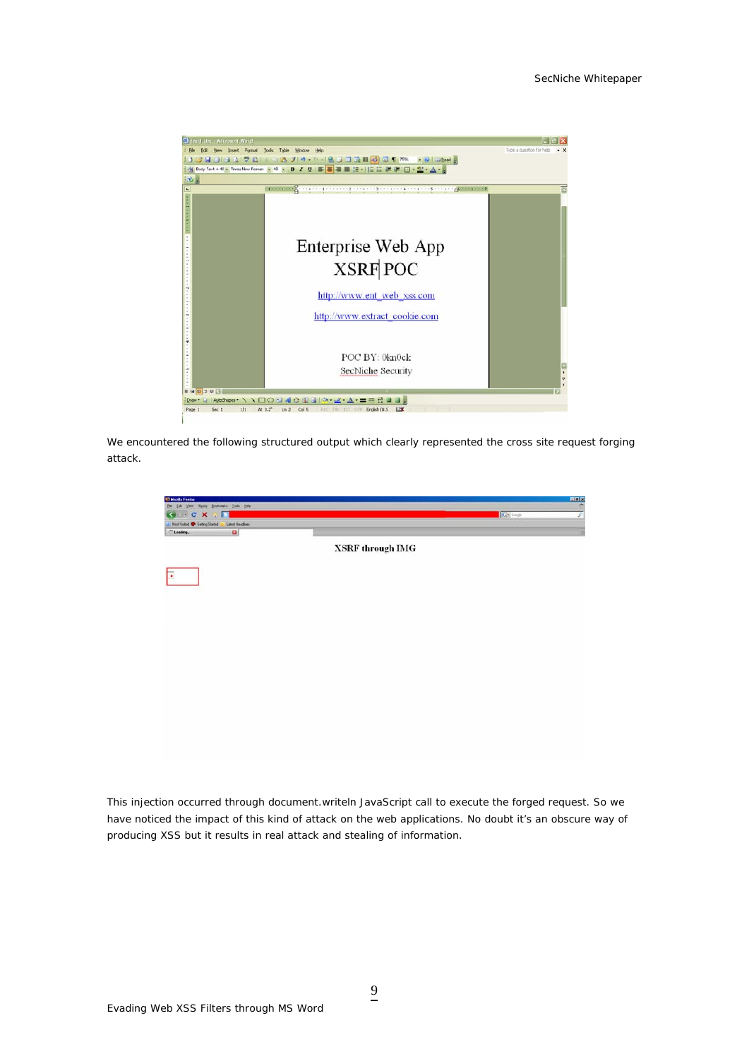

We encountered the following structured output which clearly represented the cross site request forging attack.



This injection occurred through document.writeln JavaScript call to execute the forged request. So we have noticed the impact of this kind of attack on the web applications. No doubt it's an obscure way of producing XSS but it results in real attack and stealing of information.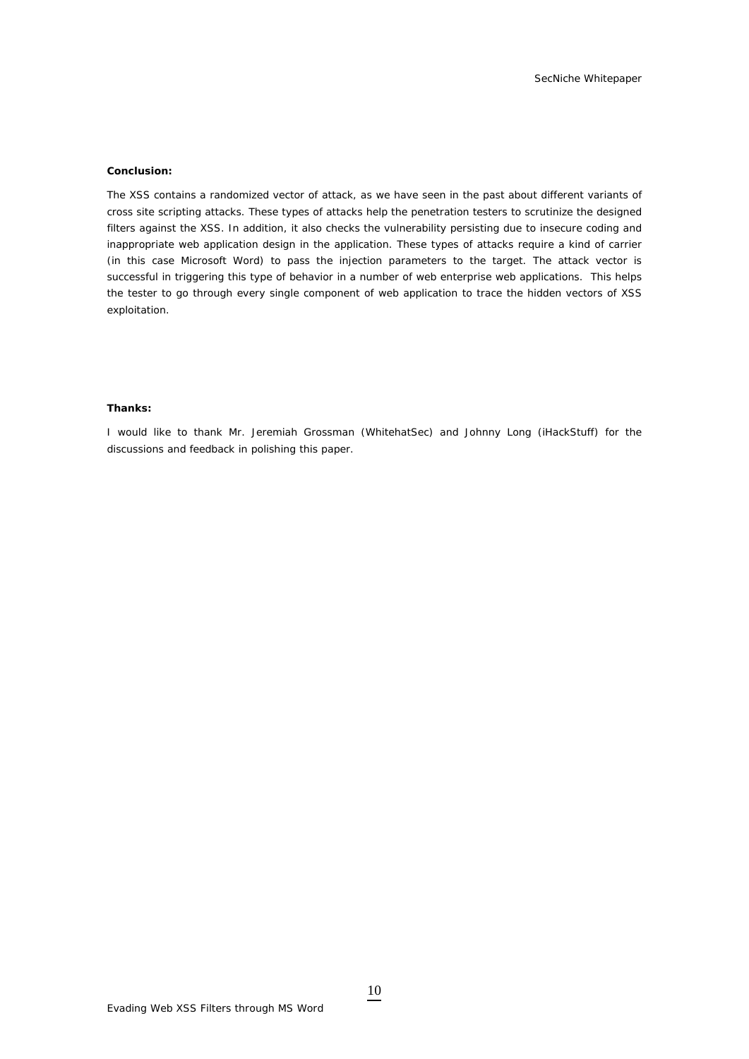#### **Conclusion:**

The XSS contains a randomized vector of attack, as we have seen in the past about different variants of cross site scripting attacks. These types of attacks help the penetration testers to scrutinize the designed filters against the XSS. In addition, it also checks the vulnerability persisting due to insecure coding and inappropriate web application design in the application. These types of attacks require a kind of carrier (in this case Microsoft Word) to pass the injection parameters to the target. The attack vector is successful in triggering this type of behavior in a number of web enterprise web applications. This helps the tester to go through every single component of web application to trace the hidden vectors of XSS exploitation.

### **Thanks:**

I would like to thank Mr. Jeremiah Grossman (WhitehatSec) and Johnny Long (iHackStuff) for the discussions and feedback in polishing this paper.

10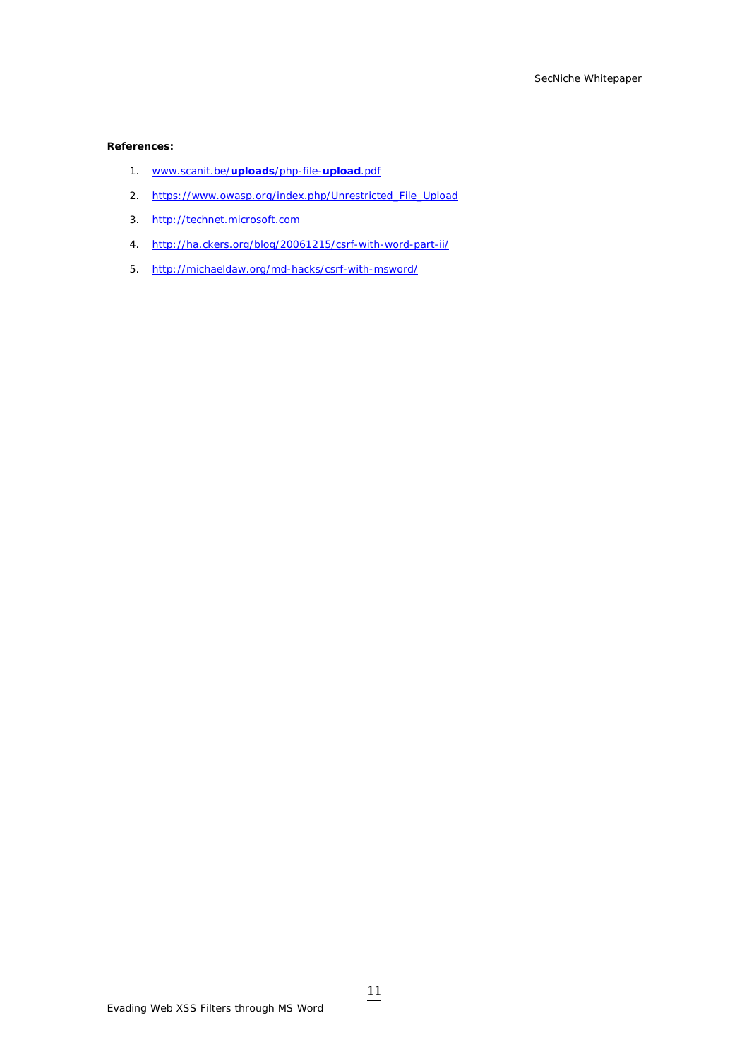# **References:**

- 1. [www.scanit.be/](http://www.scanit.be/uploads/php-file-upload.pdf)**uploads**/php-file-**upload**.pdf
- 2. [https://www.owasp.org/index.php/Unrestricted\\_File\\_Upload](https://www.owasp.org/index.php/Unrestricted_File_Upload)
- 3. [http://technet.microsoft.com](http://technet.microsoft.com/)
- 4. <http://ha.ckers.org/blog/20061215/csrf-with-word-part-ii/>
- 5. <http://michaeldaw.org/md-hacks/csrf-with-msword/>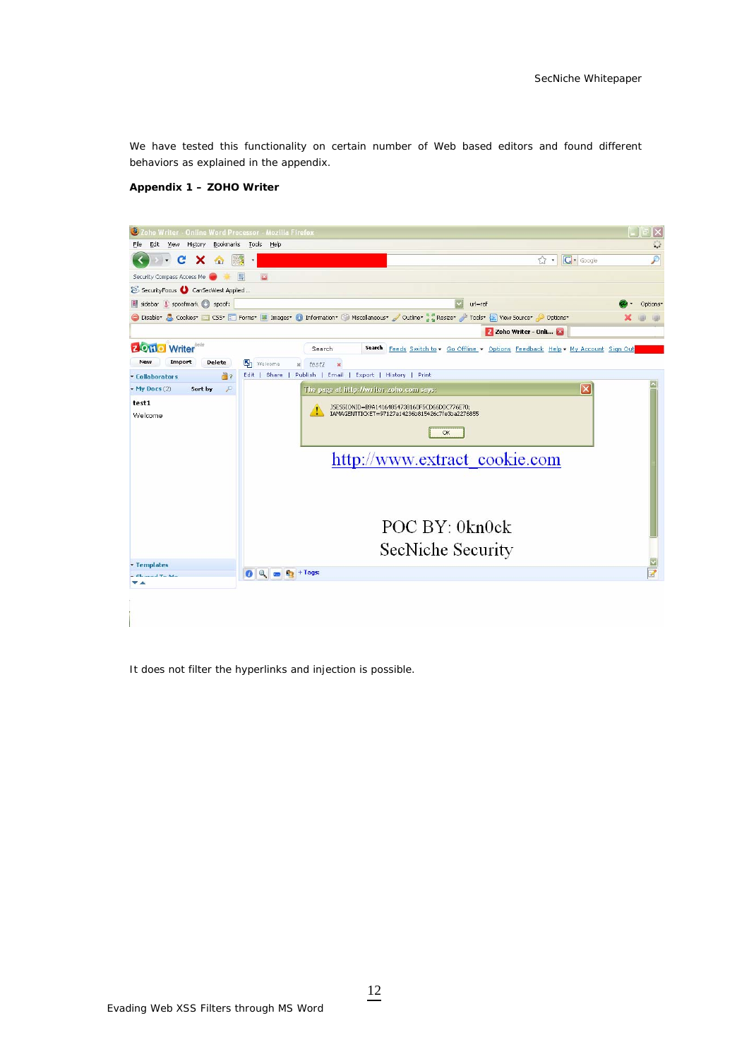We have tested this functionality on certain number of Web based editors and found different behaviors as explained in the appendix.

### **Appendix 1 – ZOHO Writer**



It does not filter the hyperlinks and injection is possible.

Evading Web XSS Filters through MS Word

12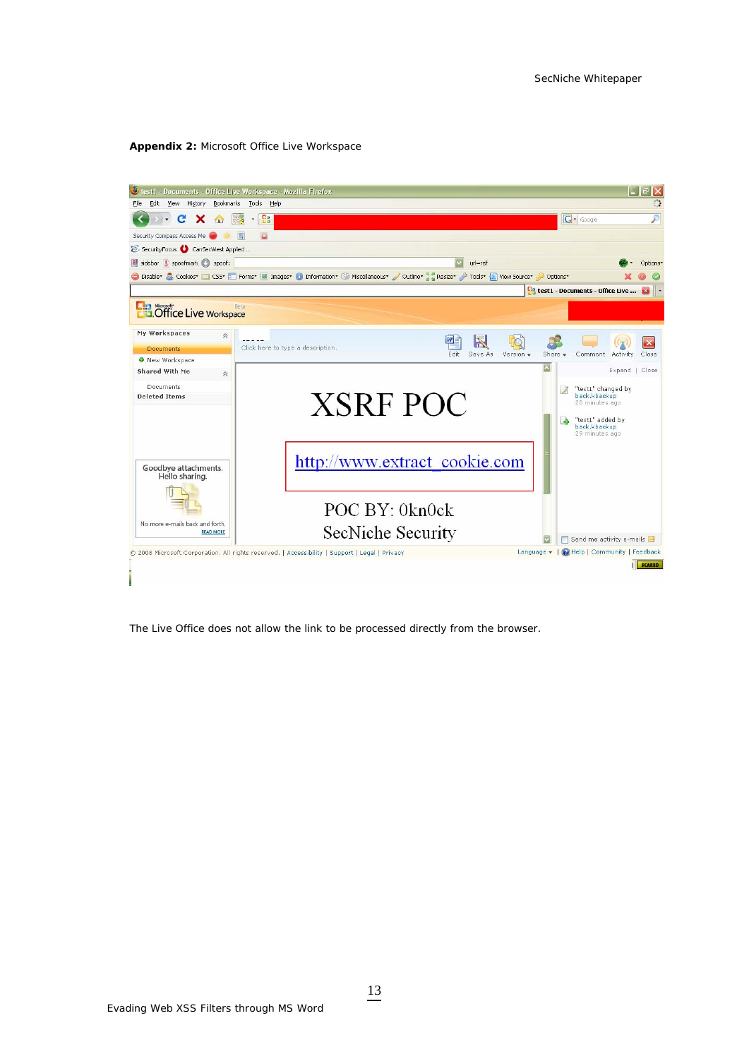### **Appendix 2:** Microsoft Office Live Workspace



The Live Office does not allow the link to be processed directly from the browser.